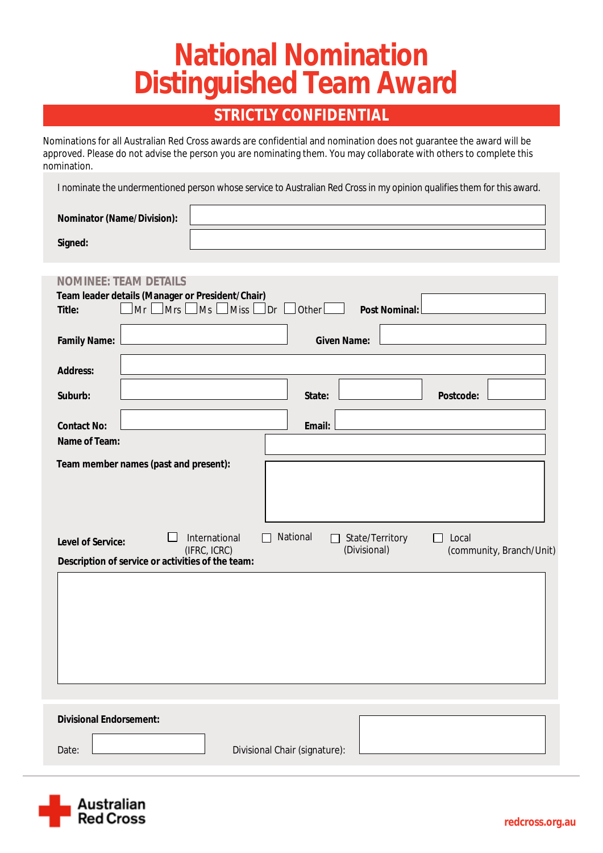# **National Nomination Distinguished Team Award**

### **STRICTLY CONFIDENTIAL**

Nominations for all Australian Red Cross awards are confidential and nomination does not guarantee the award will be approved. Please do not advise the person you are nominating them. You may collaborate with others to complete this nomination.

I nominate the undermentioned person whose service to Australian Red Cross in my opinion qualifies them for this award.

| <b>Nominator (Name/Division):</b> |  |
|-----------------------------------|--|
| <b>Signed:</b>                    |  |

| <b>NOMINEE: TEAM DETAILS</b><br>Team leader details (Manager or President/Chair) |                                                                                                           |
|----------------------------------------------------------------------------------|-----------------------------------------------------------------------------------------------------------|
| $\log$ Miss $\log$<br>$\lfloor$ Mrs $\lfloor$<br>$Mr \Box$<br><b>Title:</b>      | <b>Post Nominal:</b>                                                                                      |
| <b>Family Name:</b>                                                              | <b>Given Name:</b>                                                                                        |
| <b>Address:</b>                                                                  |                                                                                                           |
| Suburb:                                                                          | <b>Postcode:</b><br><b>State:</b>                                                                         |
| <b>Contact No:</b>                                                               | <b>Email:</b>                                                                                             |
| <b>Name of Team:</b>                                                             |                                                                                                           |
| <b>Team member names (past and present):</b>                                     |                                                                                                           |
|                                                                                  |                                                                                                           |
| <b>International</b><br><b>Level of Service:</b><br>(IFRC, ICRC)                 | <b>National</b><br><b>State/Territory</b><br>Local<br>$\perp$<br>(Divisional)<br>(community, Branch/Unit) |
| Description of service or activities of the team:                                |                                                                                                           |

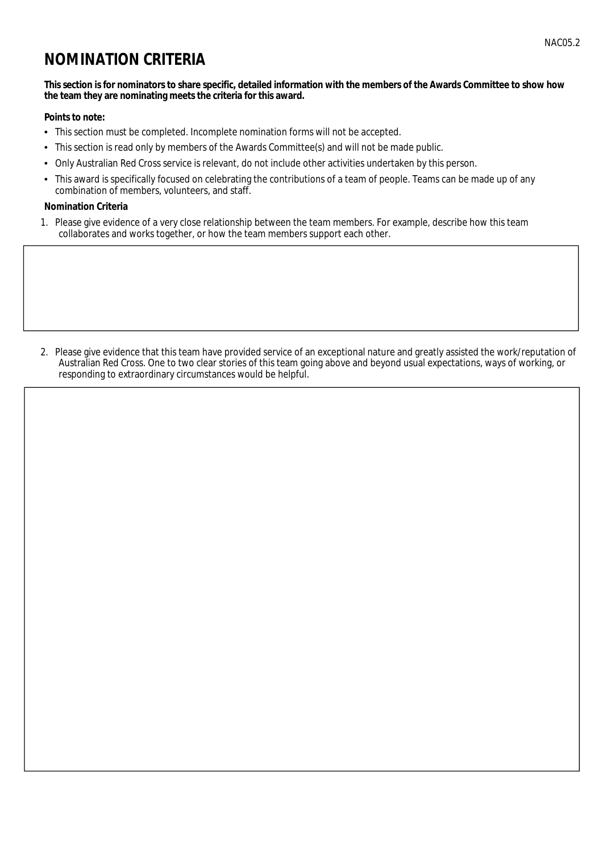## **NOMINATION CRITERIA**

#### This section is for nominators to share specific, detailed information with the members of the Awards Committee to show how the team they are nominating meets the criteria for this award.

#### **Points to note:**

- This section must be completed. Incomplete nomination forms will not be accepted.
- This section is read only by members of the Awards Committee(s) and will not be made public.  $\bullet$
- Only Australian Red Cross service is relevant, do not include other activities undertaken by this person.  $\bullet$
- This award is specifically focused on celebrating the contributions of a team of people. Teams can be made up of any  $\bullet$ combination of members, volunteers, and staff.

#### **Nomination Criteria**

1. Please give evidence of a very close relationship between the team members. For example, describe how this team collaborates and works together, or how the team members support each other.

2. Please give evidence that this team have provided service of an exceptional nature and greatly assisted the work/reputation of Australian Red Cross. One to two clear stories of this team going above and beyond usual expectations, ways of working, or responding to extraordinary circumstances would be helpful.